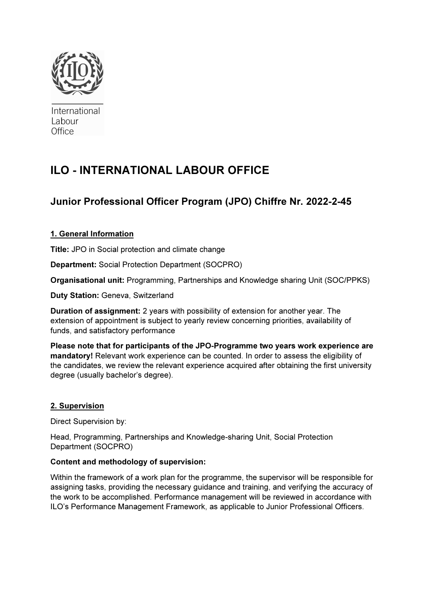

International Labour Office

# ILO - INTERNATIONAL LABOUR OFFICE

## Junior Professional Officer Program (JPO) Chiffre Nr. 2022-2-45

## 1. General Information

Title: JPO in Social protection and climate change

Department: Social Protection Department (SOCPRO)

Organisational unit: Programming, Partnerships and Knowledge sharing Unit (SOC/PPKS)

Duty Station: Geneva, Switzerland

Duration of assignment: 2 years with possibility of extension for another year. The extension of appointment is subject to yearly review concerning priorities, availability of funds, and satisfactory performance

Please note that for participants of the JPO-Programme two years work experience are mandatory! Relevant work experience can be counted. In order to assess the eligibility of the candidates, we review the relevant experience acquired after obtaining the first university degree (usually bachelor's degree).

## 2. Supervision

Direct Supervision by:

Head, Programming, Partnerships and Knowledge-sharing Unit, Social Protection Department (SOCPRO)

#### Content and methodology of supervision:

Within the framework of a work plan for the programme, the supervisor will be responsible for assigning tasks, providing the necessary guidance and training, and verifying the accuracy of the work to be accomplished. Performance management will be reviewed in accordance with ILO's Performance Management Framework, as applicable to Junior Professional Officers.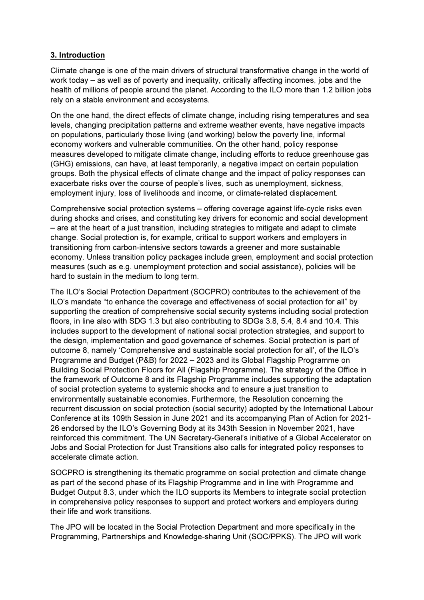## 3. Introduction

Climate change is one of the main drivers of structural transformative change in the world of work today – as well as of poverty and inequality, critically affecting incomes, jobs and the health of millions of people around the planet. According to the ILO more than 1.2 billion jobs rely on a stable environment and ecosystems.

On the one hand, the direct effects of climate change, including rising temperatures and sea levels, changing precipitation patterns and extreme weather events, have negative impacts on populations, particularly those living (and working) below the poverty line, informal economy workers and vulnerable communities. On the other hand, policy response measures developed to mitigate climate change, including efforts to reduce greenhouse gas (GHG) emissions, can have, at least temporarily, a negative impact on certain population groups. Both the physical effects of climate change and the impact of policy responses can exacerbate risks over the course of people's lives, such as unemployment, sickness, employment injury, loss of livelihoods and income, or climate-related displacement.

Comprehensive social protection systems – offering coverage against life-cycle risks even during shocks and crises, and constituting key drivers for economic and social development – are at the heart of a just transition, including strategies to mitigate and adapt to climate change. Social protection is, for example, critical to support workers and employers in transitioning from carbon-intensive sectors towards a greener and more sustainable economy. Unless transition policy packages include green, employment and social protection measures (such as e.g. unemployment protection and social assistance), policies will be hard to sustain in the medium to long term.

The ILO's Social Protection Department (SOCPRO) contributes to the achievement of the ILO's mandate "to enhance the coverage and effectiveness of social protection for all" by supporting the creation of comprehensive social security systems including social protection floors, in line also with SDG 1.3 but also contributing to SDGs 3.8, 5.4, 8.4 and 10.4. This includes support to the development of national social protection strategies, and support to the design, implementation and good governance of schemes. Social protection is part of outcome 8, namely 'Comprehensive and sustainable social protection for all', of the ILO's Programme and Budget (P&B) for 2022 – 2023 and its Global Flagship Programme on Building Social Protection Floors for All (Flagship Programme). The strategy of the Office in the framework of Outcome 8 and its Flagship Programme includes supporting the adaptation of social protection systems to systemic shocks and to ensure a just transition to environmentally sustainable economies. Furthermore, the Resolution concerning the recurrent discussion on social protection (social security) adopted by the International Labour Conference at its 109th Session in June 2021 and its accompanying Plan of Action for 2021- 26 endorsed by the ILO's Governing Body at its 343th Session in November 2021, have reinforced this commitment. The UN Secretary-General's initiative of a Global Accelerator on Jobs and Social Protection for Just Transitions also calls for integrated policy responses to accelerate climate action.

SOCPRO is strengthening its thematic programme on social protection and climate change as part of the second phase of its Flagship Programme and in line with Programme and Budget Output 8.3, under which the ILO supports its Members to integrate social protection in comprehensive policy responses to support and protect workers and employers during their life and work transitions.

The JPO will be located in the Social Protection Department and more specifically in the Programming, Partnerships and Knowledge-sharing Unit (SOC/PPKS). The JPO will work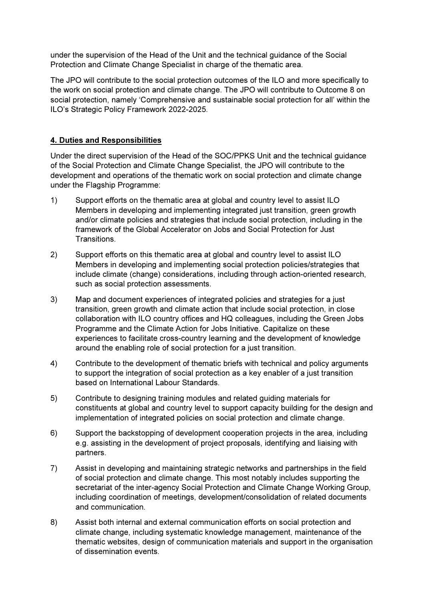under the supervision of the Head of the Unit and the technical guidance of the Social Protection and Climate Change Specialist in charge of the thematic area.

The JPO will contribute to the social protection outcomes of the ILO and more specifically to the work on social protection and climate change. The JPO will contribute to Outcome 8 on social protection, namely 'Comprehensive and sustainable social protection for all' within the ILO's Strategic Policy Framework 2022-2025.

## 4. Duties and Responsibilities

Under the direct supervision of the Head of the SOC/PPKS Unit and the technical guidance of the Social Protection and Climate Change Specialist, the JPO will contribute to the development and operations of the thematic work on social protection and climate change under the Flagship Programme:

- 1) Support efforts on the thematic area at global and country level to assist ILO Members in developing and implementing integrated just transition, green growth and/or climate policies and strategies that include social protection, including in the framework of the Global Accelerator on Jobs and Social Protection for Just **Transitions**
- 2) Support efforts on this thematic area at global and country level to assist ILO Members in developing and implementing social protection policies/strategies that include climate (change) considerations, including through action-oriented research, such as social protection assessments.
- 3) Map and document experiences of integrated policies and strategies for a just transition, green growth and climate action that include social protection, in close collaboration with ILO country offices and HQ colleagues, including the Green Jobs Programme and the Climate Action for Jobs Initiative. Capitalize on these experiences to facilitate cross-country learning and the development of knowledge around the enabling role of social protection for a just transition.
- 4) Contribute to the development of thematic briefs with technical and policy arguments to support the integration of social protection as a key enabler of a just transition based on International Labour Standards.
- 5) Contribute to designing training modules and related guiding materials for constituents at global and country level to support capacity building for the design and implementation of integrated policies on social protection and climate change.
- 6) Support the backstopping of development cooperation projects in the area, including e.g. assisting in the development of project proposals, identifying and liaising with partners.
- 7) Assist in developing and maintaining strategic networks and partnerships in the field of social protection and climate change. This most notably includes supporting the secretariat of the inter-agency Social Protection and Climate Change Working Group, including coordination of meetings, development/consolidation of related documents and communication.
- 8) Assist both internal and external communication efforts on social protection and climate change, including systematic knowledge management, maintenance of the thematic websites, design of communication materials and support in the organisation of dissemination events.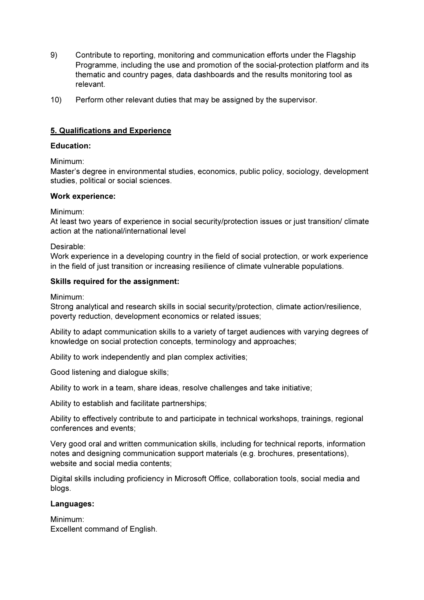- 9) Contribute to reporting, monitoring and communication efforts under the Flagship Programme, including the use and promotion of the social-protection platform and its thematic and country pages, data dashboards and the results monitoring tool as relevant.
- 10) Perform other relevant duties that may be assigned by the supervisor.

## 5. Qualifications and Experience

#### Education:

#### Minimum:

Master's degree in environmental studies, economics, public policy, sociology, development studies, political or social sciences.

#### Work experience:

#### Minimum:

At least two years of experience in social security/protection issues or just transition/ climate action at the national/international level

#### Desirable:

Work experience in a developing country in the field of social protection, or work experience in the field of just transition or increasing resilience of climate vulnerable populations.

#### Skills required for the assignment:

Minimum:

Strong analytical and research skills in social security/protection, climate action/resilience, poverty reduction, development economics or related issues;

Ability to adapt communication skills to a variety of target audiences with varying degrees of knowledge on social protection concepts, terminology and approaches;

Ability to work independently and plan complex activities;

Good listening and dialogue skills;

Ability to work in a team, share ideas, resolve challenges and take initiative;

Ability to establish and facilitate partnerships;

Ability to effectively contribute to and participate in technical workshops, trainings, regional conferences and events;

Very good oral and written communication skills, including for technical reports, information notes and designing communication support materials (e.g. brochures, presentations), website and social media contents;

Digital skills including proficiency in Microsoft Office, collaboration tools, social media and blogs.

#### Languages:

Minimum: Excellent command of English.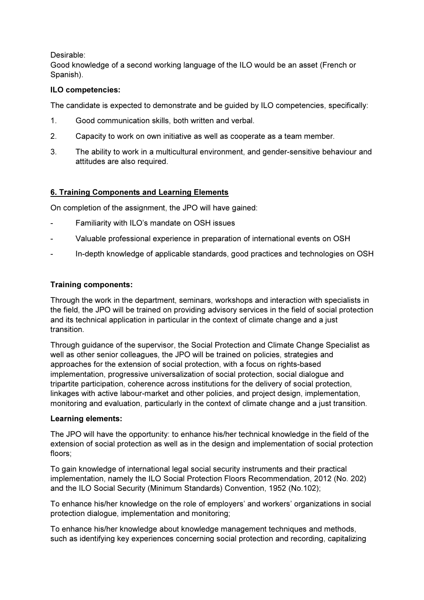Desirable:

Good knowledge of a second working language of the ILO would be an asset (French or Spanish).

## ILO competencies:

The candidate is expected to demonstrate and be guided by ILO competencies, specifically:

- 1. Good communication skills, both written and verbal.
- 2. Capacity to work on own initiative as well as cooperate as a team member.
- 3. The ability to work in a multicultural environment, and gender-sensitive behaviour and attitudes are also required.

## 6. Training Components and Learning Elements

On completion of the assignment, the JPO will have gained:

- Familiarity with ILO's mandate on OSH issues
- Valuable professional experience in preparation of international events on OSH
- In-depth knowledge of applicable standards, good practices and technologies on OSH

## Training components:

Through the work in the department, seminars, workshops and interaction with specialists in the field, the JPO will be trained on providing advisory services in the field of social protection and its technical application in particular in the context of climate change and a just transition.

Through guidance of the supervisor, the Social Protection and Climate Change Specialist as well as other senior colleagues, the JPO will be trained on policies, strategies and approaches for the extension of social protection, with a focus on rights-based implementation, progressive universalization of social protection, social dialogue and tripartite participation, coherence across institutions for the delivery of social protection, linkages with active labour-market and other policies, and project design, implementation, monitoring and evaluation, particularly in the context of climate change and a just transition.

## Learning elements:

The JPO will have the opportunity: to enhance his/her technical knowledge in the field of the extension of social protection as well as in the design and implementation of social protection floors;

To gain knowledge of international legal social security instruments and their practical implementation, namely the ILO Social Protection Floors Recommendation, 2012 (No. 202) and the ILO Social Security (Minimum Standards) Convention, 1952 (No.102);

To enhance his/her knowledge on the role of employers' and workers' organizations in social protection dialogue, implementation and monitoring;

To enhance his/her knowledge about knowledge management techniques and methods, such as identifying key experiences concerning social protection and recording, capitalizing